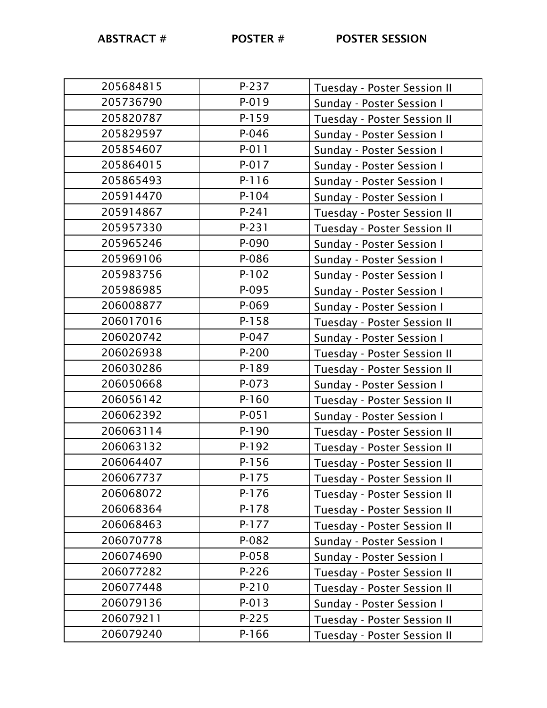| 205684815 | P-237     | Tuesday - Poster Session II |
|-----------|-----------|-----------------------------|
| 205736790 | P-019     | Sunday - Poster Session I   |
| 205820787 | $P-159$   | Tuesday - Poster Session II |
| 205829597 | P-046     | Sunday - Poster Session I   |
| 205854607 | $P - 011$ | Sunday - Poster Session I   |
| 205864015 | $P-017$   | Sunday - Poster Session I   |
| 205865493 | $P-116$   | Sunday - Poster Session I   |
| 205914470 | $P-104$   | Sunday - Poster Session I   |
| 205914867 | $P-241$   | Tuesday - Poster Session II |
| 205957330 | P-231     | Tuesday - Poster Session II |
| 205965246 | P-090     | Sunday - Poster Session I   |
| 205969106 | P-086     | Sunday - Poster Session I   |
| 205983756 | $P-102$   | Sunday - Poster Session I   |
| 205986985 | P-095     | Sunday - Poster Session I   |
| 206008877 | P-069     | Sunday - Poster Session I   |
| 206017016 | $P-158$   | Tuesday - Poster Session II |
| 206020742 | $P-047$   | Sunday - Poster Session I   |
| 206026938 | $P-200$   | Tuesday - Poster Session II |
| 206030286 | $P-189$   | Tuesday - Poster Session II |
| 206050668 | $P - 073$ | Sunday - Poster Session I   |
| 206056142 | $P-160$   | Tuesday - Poster Session II |
| 206062392 | $P-051$   | Sunday - Poster Session I   |
| 206063114 | $P-190$   | Tuesday - Poster Session II |
| 206063132 | $P-192$   | Tuesday - Poster Session II |
| 206064407 | $P-156$   | Tuesday - Poster Session II |
| 206067737 | P-175     | Tuesday - Poster Session II |
| 206068072 | $P-176$   | Tuesday - Poster Session II |
| 206068364 | P-178     | Tuesday - Poster Session II |
| 206068463 | P-177     | Tuesday - Poster Session II |
| 206070778 | P-082     | Sunday - Poster Session I   |
| 206074690 | $P-058$   | Sunday - Poster Session I   |
| 206077282 | $P-226$   | Tuesday - Poster Session II |
| 206077448 | $P-210$   | Tuesday - Poster Session II |
| 206079136 | $P - 013$ | Sunday - Poster Session I   |
| 206079211 | $P-225$   | Tuesday - Poster Session II |
| 206079240 | $P-166$   | Tuesday - Poster Session II |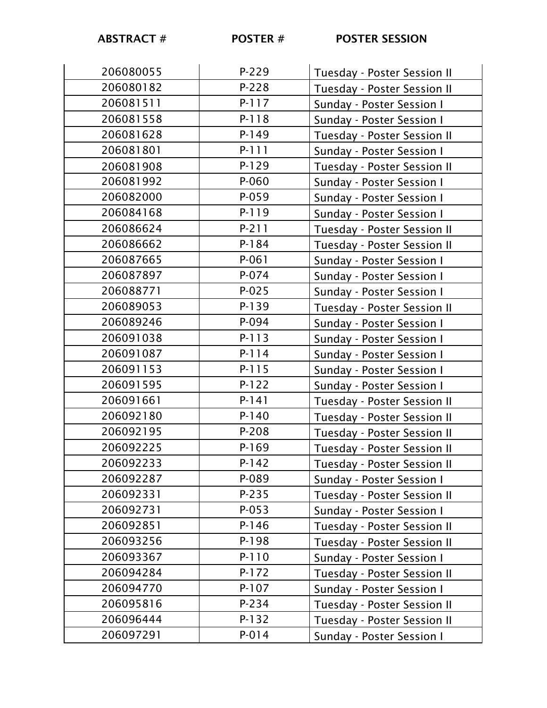| 206080055 | P-229   | Tuesday - Poster Session II |
|-----------|---------|-----------------------------|
| 206080182 | $P-228$ | Tuesday - Poster Session II |
| 206081511 | $P-117$ | Sunday - Poster Session I   |
| 206081558 | P-118   | Sunday - Poster Session I   |
| 206081628 | $P-149$ | Tuesday - Poster Session II |
| 206081801 | P-111   | Sunday - Poster Session I   |
| 206081908 | $P-129$ | Tuesday - Poster Session II |
| 206081992 | P-060   | Sunday - Poster Session I   |
| 206082000 | P-059   | Sunday - Poster Session I   |
| 206084168 | P-119   | Sunday - Poster Session I   |
| 206086624 | $P-211$ | Tuesday - Poster Session II |
| 206086662 | P-184   | Tuesday - Poster Session II |
| 206087665 | $P-061$ | Sunday - Poster Session I   |
| 206087897 | P-074   | Sunday - Poster Session I   |
| 206088771 | $P-025$ | Sunday - Poster Session I   |
| 206089053 | $P-139$ | Tuesday - Poster Session II |
| 206089246 | P-094   | Sunday - Poster Session I   |
| 206091038 | $P-113$ | Sunday - Poster Session I   |
| 206091087 | P-114   | Sunday - Poster Session I   |
| 206091153 | P-115   | Sunday - Poster Session I   |
| 206091595 | $P-122$ | Sunday - Poster Session I   |
| 206091661 | $P-141$ | Tuesday - Poster Session II |
| 206092180 | $P-140$ | Tuesday - Poster Session II |
| 206092195 | P-208   | Tuesday - Poster Session II |
| 206092225 | $P-169$ | Tuesday - Poster Session II |
| 206092233 | P-142   | Tuesday - Poster Session II |
| 206092287 | P-089   | Sunday - Poster Session I   |
| 206092331 | P-235   | Tuesday - Poster Session II |
| 206092731 | $P-053$ | Sunday - Poster Session I   |
| 206092851 | $P-146$ | Tuesday - Poster Session II |
| 206093256 | $P-198$ | Tuesday - Poster Session II |
| 206093367 | P-110   | Sunday - Poster Session I   |
| 206094284 | P-172   | Tuesday - Poster Session II |
| 206094770 | $P-107$ | Sunday - Poster Session I   |
| 206095816 | P-234   | Tuesday - Poster Session II |
| 206096444 | $P-132$ | Tuesday - Poster Session II |
| 206097291 | P-014   | Sunday - Poster Session I   |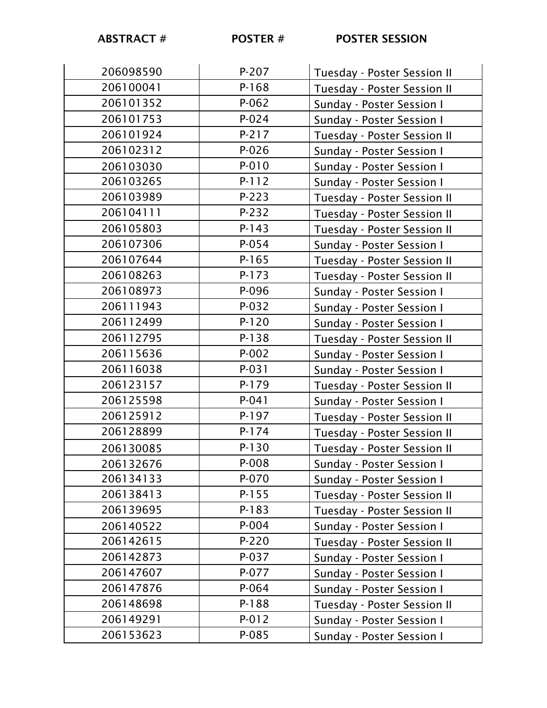| 206098590 | $P-207$   | Tuesday - Poster Session II |
|-----------|-----------|-----------------------------|
| 206100041 | P-168     | Tuesday - Poster Session II |
| 206101352 | $P-062$   | Sunday - Poster Session I   |
| 206101753 | $P - 024$ | Sunday - Poster Session I   |
| 206101924 | $P-217$   | Tuesday - Poster Session II |
| 206102312 | $P - 026$ | Sunday - Poster Session I   |
| 206103030 | P-010     | Sunday - Poster Session I   |
| 206103265 | $P-112$   | Sunday - Poster Session I   |
| 206103989 | $P-223$   | Tuesday - Poster Session II |
| 206104111 | $P-232$   | Tuesday - Poster Session II |
| 206105803 | $P-143$   | Tuesday - Poster Session II |
| 206107306 | $P - 054$ | Sunday - Poster Session I   |
| 206107644 | $P-165$   | Tuesday - Poster Session II |
| 206108263 | P-173     | Tuesday - Poster Session II |
| 206108973 | P-096     | Sunday - Poster Session I   |
| 206111943 | P-032     | Sunday - Poster Session I   |
| 206112499 | $P-120$   | Sunday - Poster Session I   |
| 206112795 | $P-138$   | Tuesday - Poster Session II |
| 206115636 | $P-002$   | Sunday - Poster Session I   |
| 206116038 | $P-031$   | Sunday - Poster Session I   |
| 206123157 | $P-179$   | Tuesday - Poster Session II |
| 206125598 | $P-041$   | Sunday - Poster Session I   |
| 206125912 | P-197     | Tuesday - Poster Session II |
| 206128899 | $P-174$   | Tuesday - Poster Session II |
| 206130085 | $P-130$   | Tuesday - Poster Session II |
| 206132676 | P-008     | Sunday - Poster Session I   |
| 206134133 | P-070     | Sunday - Poster Session I   |
| 206138413 | P-155     | Tuesday - Poster Session II |
| 206139695 | $P-183$   | Tuesday - Poster Session II |
| 206140522 | P-004     | Sunday - Poster Session I   |
| 206142615 | P-220     | Tuesday - Poster Session II |
| 206142873 | P-037     | Sunday - Poster Session I   |
| 206147607 | P-077     | Sunday - Poster Session I   |
| 206147876 | P-064     | Sunday - Poster Session I   |
| 206148698 | $P-188$   | Tuesday - Poster Session II |
| 206149291 | P-012     | Sunday - Poster Session I   |
| 206153623 | P-085     | Sunday - Poster Session I   |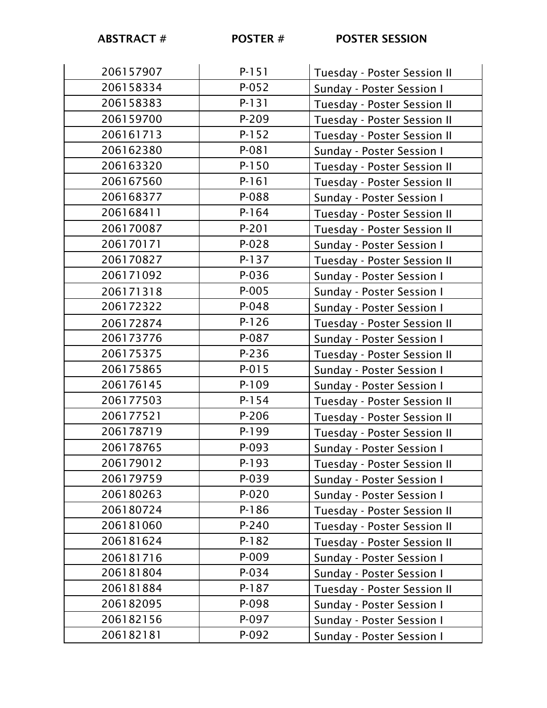| 206157907 | $P-151$   | Tuesday - Poster Session II |
|-----------|-----------|-----------------------------|
| 206158334 | $P-052$   | Sunday - Poster Session I   |
| 206158383 | $P-131$   | Tuesday - Poster Session II |
| 206159700 | P-209     | Tuesday - Poster Session II |
| 206161713 | $P-152$   | Tuesday - Poster Session II |
| 206162380 | P-081     | Sunday - Poster Session I   |
| 206163320 | $P-150$   | Tuesday - Poster Session II |
| 206167560 | $P-161$   | Tuesday - Poster Session II |
| 206168377 | P-088     | Sunday - Poster Session I   |
| 206168411 | $P-164$   | Tuesday - Poster Session II |
| 206170087 | P-201     | Tuesday - Poster Session II |
| 206170171 | $P-028$   | Sunday - Poster Session I   |
| 206170827 | P-137     | Tuesday - Poster Session II |
| 206171092 | P-036     | Sunday - Poster Session I   |
| 206171318 | $P-005$   | Sunday - Poster Session I   |
| 206172322 | $P-048$   | Sunday - Poster Session I   |
| 206172874 | $P-126$   | Tuesday - Poster Session II |
| 206173776 | P-087     | Sunday - Poster Session I   |
| 206175375 | $P-236$   | Tuesday - Poster Session II |
| 206175865 | $P-015$   | Sunday - Poster Session I   |
| 206176145 | P-109     | Sunday - Poster Session I   |
| 206177503 | $P-154$   | Tuesday - Poster Session II |
| 206177521 | P-206     | Tuesday - Poster Session II |
| 206178719 | P-199     | Tuesday - Poster Session II |
| 206178765 | P-093     | Sunday - Poster Session I   |
| 206179012 | P-193     | Tuesday - Poster Session II |
| 206179759 | P-039     | Sunday - Poster Session I   |
| 206180263 | $P - 020$ | Sunday - Poster Session I   |
| 206180724 | $P-186$   | Tuesday - Poster Session II |
| 206181060 | $P-240$   | Tuesday - Poster Session II |
| 206181624 | $P-182$   | Tuesday - Poster Session II |
| 206181716 | P-009     | Sunday - Poster Session I   |
| 206181804 | P-034     | Sunday - Poster Session I   |
| 206181884 | P-187     | Tuesday - Poster Session II |
| 206182095 | P-098     | Sunday - Poster Session I   |
| 206182156 | P-097     | Sunday - Poster Session I   |
| 206182181 | P-092     | Sunday - Poster Session I   |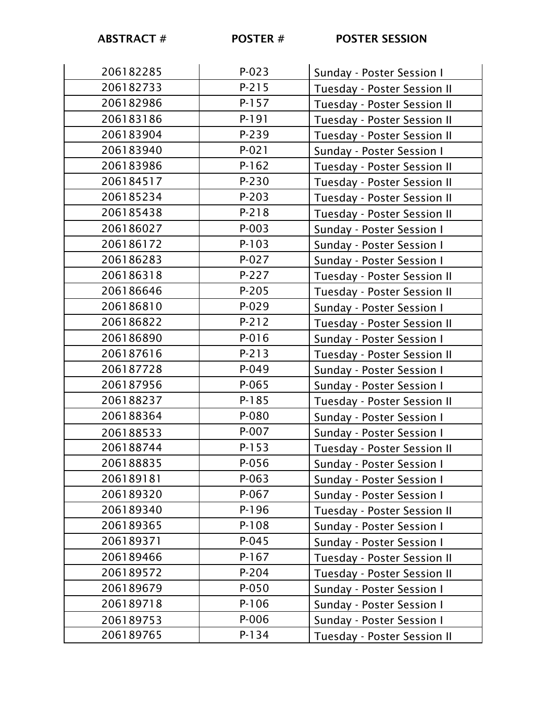| 206182285 | $P-023$ | Sunday - Poster Session I   |
|-----------|---------|-----------------------------|
| 206182733 | $P-215$ | Tuesday - Poster Session II |
| 206182986 | $P-157$ | Tuesday - Poster Session II |
| 206183186 | P-191   | Tuesday - Poster Session II |
| 206183904 | P-239   | Tuesday - Poster Session II |
| 206183940 | $P-021$ | Sunday - Poster Session I   |
| 206183986 | $P-162$ | Tuesday - Poster Session II |
| 206184517 | $P-230$ | Tuesday - Poster Session II |
| 206185234 | $P-203$ | Tuesday - Poster Session II |
| 206185438 | $P-218$ | Tuesday - Poster Session II |
| 206186027 | $P-003$ | Sunday - Poster Session I   |
| 206186172 | $P-103$ | Sunday - Poster Session I   |
| 206186283 | $P-027$ | Sunday - Poster Session I   |
| 206186318 | P-227   | Tuesday - Poster Session II |
| 206186646 | $P-205$ | Tuesday - Poster Session II |
| 206186810 | $P-029$ | Sunday - Poster Session I   |
| 206186822 | $P-212$ | Tuesday - Poster Session II |
| 206186890 | P-016   | Sunday - Poster Session I   |
| 206187616 | $P-213$ | Tuesday - Poster Session II |
| 206187728 | $P-049$ | Sunday - Poster Session I   |
| 206187956 | P-065   | Sunday - Poster Session I   |
| 206188237 | $P-185$ | Tuesday - Poster Session II |
| 206188364 | P-080   | Sunday - Poster Session I   |
| 206188533 | $P-007$ | Sunday - Poster Session I   |
| 206188744 | $P-153$ | Tuesday - Poster Session II |
| 206188835 | P-056   | Sunday - Poster Session I   |
| 206189181 | $P-063$ | Sunday - Poster Session I   |
| 206189320 | P-067   | Sunday - Poster Session I   |
| 206189340 | P-196   | Tuesday - Poster Session II |
| 206189365 | P-108   | Sunday - Poster Session I   |
| 206189371 | $P-045$ | Sunday - Poster Session I   |
| 206189466 | $P-167$ | Tuesday - Poster Session II |
| 206189572 | P-204   | Tuesday - Poster Session II |
| 206189679 | P-050   | Sunday - Poster Session I   |
| 206189718 | P-106   | Sunday - Poster Session I   |
| 206189753 | P-006   | Sunday - Poster Session I   |
| 206189765 | P-134   | Tuesday - Poster Session II |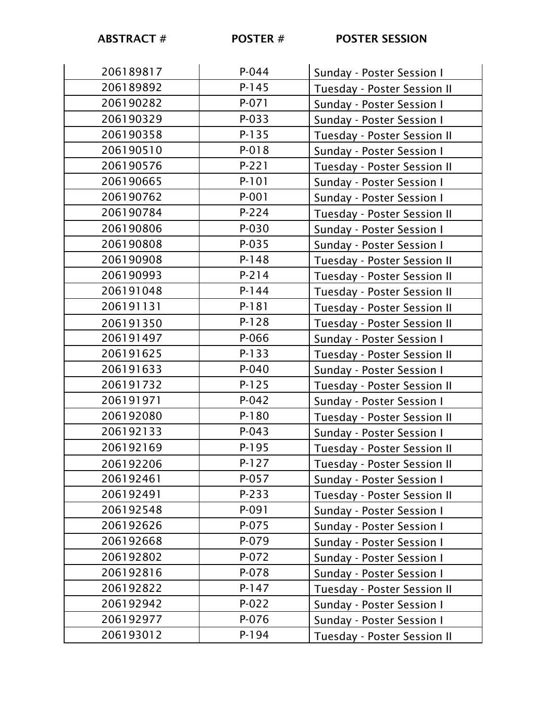| 206189817 | $P - 044$ | Sunday - Poster Session I   |
|-----------|-----------|-----------------------------|
| 206189892 | $P-145$   | Tuesday - Poster Session II |
| 206190282 | $P - 071$ | Sunday - Poster Session I   |
| 206190329 | $P-033$   | Sunday - Poster Session I   |
| 206190358 | P-135     | Tuesday - Poster Session II |
| 206190510 | P-018     | Sunday - Poster Session I   |
| 206190576 | $P-221$   | Tuesday - Poster Session II |
| 206190665 | $P-101$   | Sunday - Poster Session I   |
| 206190762 | $P - 001$ | Sunday - Poster Session I   |
| 206190784 | P-224     | Tuesday - Poster Session II |
| 206190806 | P-030     | Sunday - Poster Session I   |
| 206190808 | $P-035$   | Sunday - Poster Session I   |
| 206190908 | $P-148$   | Tuesday - Poster Session II |
| 206190993 | $P-214$   | Tuesday - Poster Session II |
| 206191048 | $P-144$   | Tuesday - Poster Session II |
| 206191131 | $P-181$   | Tuesday - Poster Session II |
| 206191350 | P-128     | Tuesday - Poster Session II |
| 206191497 | P-066     | Sunday - Poster Session I   |
| 206191625 | $P-133$   | Tuesday - Poster Session II |
| 206191633 | $P - 040$ | Sunday - Poster Session I   |
| 206191732 | $P-125$   | Tuesday - Poster Session II |
| 206191971 | $P-042$   | Sunday - Poster Session I   |
| 206192080 | $P-180$   | Tuesday - Poster Session II |
| 206192133 | $P-043$   | Sunday - Poster Session I   |
| 206192169 | $P-195$   | Tuesday - Poster Session II |
| 206192206 | P-127     | Tuesday - Poster Session II |
| 206192461 | P-057     | Sunday - Poster Session I   |
| 206192491 | P-233     | Tuesday - Poster Session II |
| 206192548 | P-091     | Sunday - Poster Session I   |
| 206192626 | P-075     | Sunday - Poster Session I   |
| 206192668 | P-079     | Sunday - Poster Session I   |
| 206192802 | P-072     | Sunday - Poster Session I   |
| 206192816 | P-078     | Sunday - Poster Session I   |
| 206192822 | $P-147$   | Tuesday - Poster Session II |
| 206192942 | $P-022$   | Sunday - Poster Session I   |
| 206192977 | P-076     | Sunday - Poster Session I   |
| 206193012 | P-194     | Tuesday - Poster Session II |